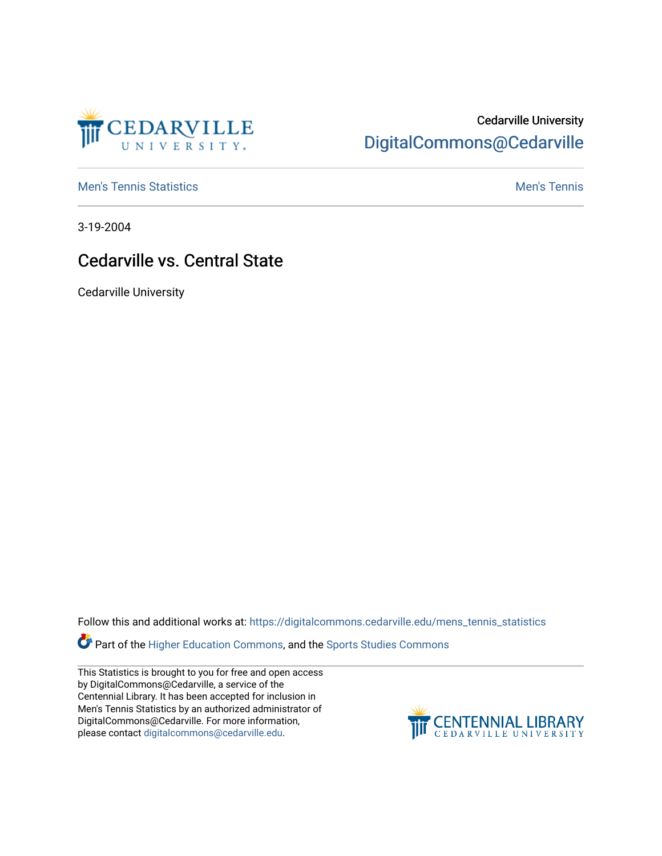

## Cedarville University [DigitalCommons@Cedarville](https://digitalcommons.cedarville.edu/)

**[Men's Tennis Statistics](https://digitalcommons.cedarville.edu/mens_tennis_statistics) Mental According to the Control of Control According Mental Men's Tennis** 

3-19-2004

## Cedarville vs. Central State

Cedarville University

Follow this and additional works at: [https://digitalcommons.cedarville.edu/mens\\_tennis\\_statistics](https://digitalcommons.cedarville.edu/mens_tennis_statistics?utm_source=digitalcommons.cedarville.edu%2Fmens_tennis_statistics%2F590&utm_medium=PDF&utm_campaign=PDFCoverPages)

Part of the [Higher Education Commons,](http://network.bepress.com/hgg/discipline/1245?utm_source=digitalcommons.cedarville.edu%2Fmens_tennis_statistics%2F590&utm_medium=PDF&utm_campaign=PDFCoverPages) and the Sports Studies Commons

This Statistics is brought to you for free and open access by DigitalCommons@Cedarville, a service of the Centennial Library. It has been accepted for inclusion in Men's Tennis Statistics by an authorized administrator of DigitalCommons@Cedarville. For more information, please contact [digitalcommons@cedarville.edu](mailto:digitalcommons@cedarville.edu).